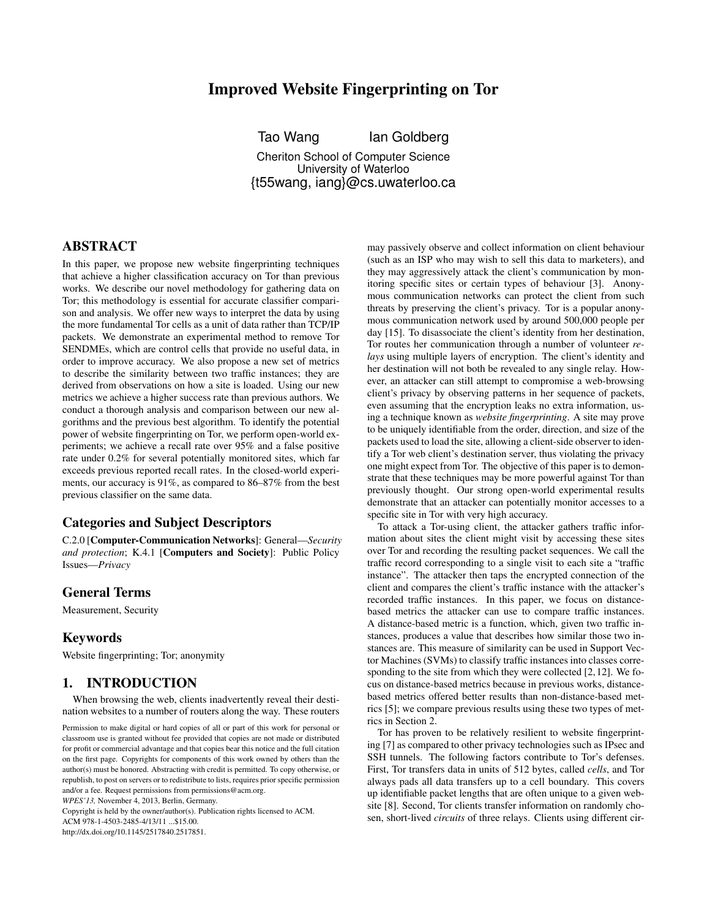# Improved Website Fingerprinting on Tor

Tao Wang lan Goldberg Cheriton School of Computer Science University of Waterloo {t55wang, iang}@cs.uwaterloo.ca

## **ABSTRACT**

In this paper, we propose new website fingerprinting techniques that achieve a higher classification accuracy on Tor than previous works. We describe our novel methodology for gathering data on Tor; this methodology is essential for accurate classifier comparison and analysis. We offer new ways to interpret the data by using the more fundamental Tor cells as a unit of data rather than TCP/IP packets. We demonstrate an experimental method to remove Tor SENDMEs, which are control cells that provide no useful data, in order to improve accuracy. We also propose a new set of metrics to describe the similarity between two traffic instances; they are derived from observations on how a site is loaded. Using our new metrics we achieve a higher success rate than previous authors. We conduct a thorough analysis and comparison between our new algorithms and the previous best algorithm. To identify the potential power of website fingerprinting on Tor, we perform open-world experiments; we achieve a recall rate over 95% and a false positive rate under 0.2% for several potentially monitored sites, which far exceeds previous reported recall rates. In the closed-world experiments, our accuracy is 91%, as compared to 86–87% from the best previous classifier on the same data.

## Categories and Subject Descriptors

C.2.0 [Computer-Communication Networks]: General—*Security and protection*; K.4.1 [Computers and Society]: Public Policy Issues—*Privacy*

## General Terms

Measurement, Security

## Keywords

Website fingerprinting; Tor; anonymity

## 1. INTRODUCTION

When browsing the web, clients inadvertently reveal their destination websites to a number of routers along the way. These routers

Permission to make digital or hard copies of all or part of this work for personal or classroom use is granted without fee provided that copies are not made or distributed for profit or commercial advantage and that copies bear this notice and the full citation on the first page. Copyrights for components of this work owned by others than the author(s) must be honored. Abstracting with credit is permitted. To copy otherwise, or republish, to post on servers or to redistribute to lists, requires prior specific permission and/or a fee. Request permissions from permissions@acm.org.

*WPES'13,* November 4, 2013, Berlin, Germany.

Copyright is held by the owner/author(s). Publication rights licensed to ACM. ACM 978-1-4503-2485-4/13/11 ...\$15.00.

http://dx.doi.org/10.1145/2517840.2517851.

may passively observe and collect information on client behaviour (such as an ISP who may wish to sell this data to marketers), and they may aggressively attack the client's communication by monitoring specific sites or certain types of behaviour [3]. Anonymous communication networks can protect the client from such threats by preserving the client's privacy. Tor is a popular anonymous communication network used by around 500,000 people per day [15]. To disassociate the client's identity from her destination, Tor routes her communication through a number of volunteer *relays* using multiple layers of encryption. The client's identity and her destination will not both be revealed to any single relay. However, an attacker can still attempt to compromise a web-browsing client's privacy by observing patterns in her sequence of packets, even assuming that the encryption leaks no extra information, using a technique known as *website fingerprinting*. A site may prove to be uniquely identifiable from the order, direction, and size of the packets used to load the site, allowing a client-side observer to identify a Tor web client's destination server, thus violating the privacy one might expect from Tor. The objective of this paper is to demonstrate that these techniques may be more powerful against Tor than previously thought. Our strong open-world experimental results demonstrate that an attacker can potentially monitor accesses to a specific site in Tor with very high accuracy.

To attack a Tor-using client, the attacker gathers traffic information about sites the client might visit by accessing these sites over Tor and recording the resulting packet sequences. We call the traffic record corresponding to a single visit to each site a "traffic instance". The attacker then taps the encrypted connection of the client and compares the client's traffic instance with the attacker's recorded traffic instances. In this paper, we focus on distancebased metrics the attacker can use to compare traffic instances. A distance-based metric is a function, which, given two traffic instances, produces a value that describes how similar those two instances are. This measure of similarity can be used in Support Vector Machines (SVMs) to classify traffic instances into classes corresponding to the site from which they were collected [2, 12]. We focus on distance-based metrics because in previous works, distancebased metrics offered better results than non-distance-based metrics [5]; we compare previous results using these two types of metrics in Section 2.

Tor has proven to be relatively resilient to website fingerprinting [7] as compared to other privacy technologies such as IPsec and SSH tunnels. The following factors contribute to Tor's defenses. First, Tor transfers data in units of 512 bytes, called *cells*, and Tor always pads all data transfers up to a cell boundary. This covers up identifiable packet lengths that are often unique to a given website [8]. Second, Tor clients transfer information on randomly chosen, short-lived *circuits* of three relays. Clients using different cir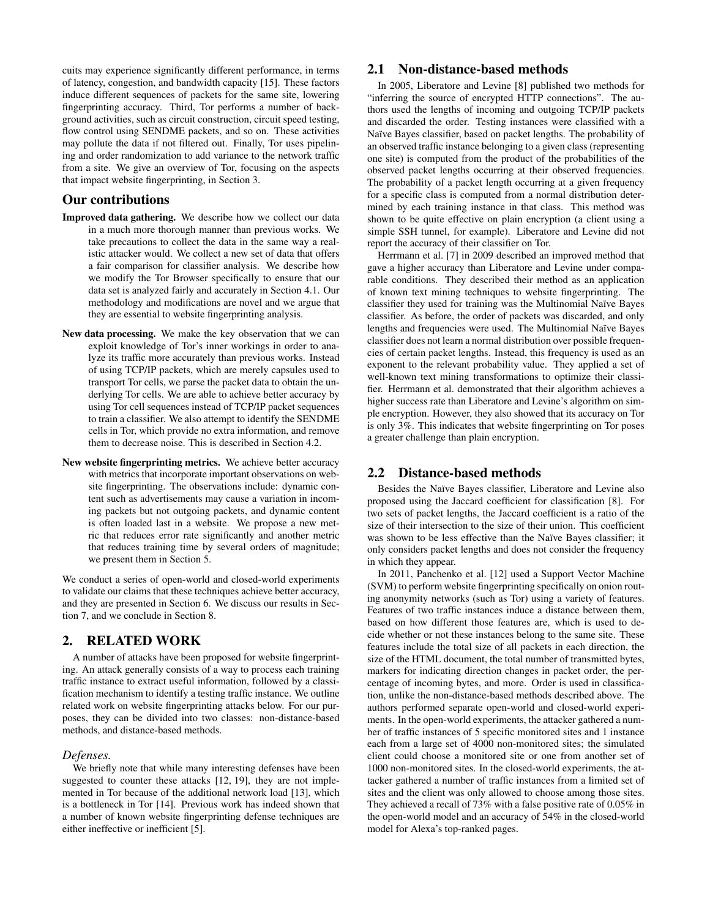cuits may experience significantly different performance, in terms of latency, congestion, and bandwidth capacity [15]. These factors induce different sequences of packets for the same site, lowering fingerprinting accuracy. Third, Tor performs a number of background activities, such as circuit construction, circuit speed testing, flow control using SENDME packets, and so on. These activities may pollute the data if not filtered out. Finally, Tor uses pipelining and order randomization to add variance to the network traffic from a site. We give an overview of Tor, focusing on the aspects that impact website fingerprinting, in Section 3.

## Our contributions

- Improved data gathering. We describe how we collect our data in a much more thorough manner than previous works. We take precautions to collect the data in the same way a realistic attacker would. We collect a new set of data that offers a fair comparison for classifier analysis. We describe how we modify the Tor Browser specifically to ensure that our data set is analyzed fairly and accurately in Section 4.1. Our methodology and modifications are novel and we argue that they are essential to website fingerprinting analysis.
- New data processing. We make the key observation that we can exploit knowledge of Tor's inner workings in order to analyze its traffic more accurately than previous works. Instead of using TCP/IP packets, which are merely capsules used to transport Tor cells, we parse the packet data to obtain the underlying Tor cells. We are able to achieve better accuracy by using Tor cell sequences instead of TCP/IP packet sequences to train a classifier. We also attempt to identify the SENDME cells in Tor, which provide no extra information, and remove them to decrease noise. This is described in Section 4.2.
- New website fingerprinting metrics. We achieve better accuracy with metrics that incorporate important observations on website fingerprinting. The observations include: dynamic content such as advertisements may cause a variation in incoming packets but not outgoing packets, and dynamic content is often loaded last in a website. We propose a new metric that reduces error rate significantly and another metric that reduces training time by several orders of magnitude; we present them in Section 5.

We conduct a series of open-world and closed-world experiments to validate our claims that these techniques achieve better accuracy, and they are presented in Section 6. We discuss our results in Section 7, and we conclude in Section 8.

## 2. RELATED WORK

A number of attacks have been proposed for website fingerprinting. An attack generally consists of a way to process each training traffic instance to extract useful information, followed by a classification mechanism to identify a testing traffic instance. We outline related work on website fingerprinting attacks below. For our purposes, they can be divided into two classes: non-distance-based methods, and distance-based methods.

#### *Defenses.*

We briefly note that while many interesting defenses have been suggested to counter these attacks [12, 19], they are not implemented in Tor because of the additional network load [13], which is a bottleneck in Tor [14]. Previous work has indeed shown that a number of known website fingerprinting defense techniques are either ineffective or inefficient [5].

## 2.1 Non-distance-based methods

In 2005, Liberatore and Levine [8] published two methods for "inferring the source of encrypted HTTP connections". The authors used the lengths of incoming and outgoing TCP/IP packets and discarded the order. Testing instances were classified with a Naïve Bayes classifier, based on packet lengths. The probability of an observed traffic instance belonging to a given class (representing one site) is computed from the product of the probabilities of the observed packet lengths occurring at their observed frequencies. The probability of a packet length occurring at a given frequency for a specific class is computed from a normal distribution determined by each training instance in that class. This method was shown to be quite effective on plain encryption (a client using a simple SSH tunnel, for example). Liberatore and Levine did not report the accuracy of their classifier on Tor.

Herrmann et al. [7] in 2009 described an improved method that gave a higher accuracy than Liberatore and Levine under comparable conditions. They described their method as an application of known text mining techniques to website fingerprinting. The classifier they used for training was the Multinomial Naïve Bayes classifier. As before, the order of packets was discarded, and only lengths and frequencies were used. The Multinomial Naïve Bayes classifier does not learn a normal distribution over possible frequencies of certain packet lengths. Instead, this frequency is used as an exponent to the relevant probability value. They applied a set of well-known text mining transformations to optimize their classifier. Herrmann et al. demonstrated that their algorithm achieves a higher success rate than Liberatore and Levine's algorithm on simple encryption. However, they also showed that its accuracy on Tor is only 3%. This indicates that website fingerprinting on Tor poses a greater challenge than plain encryption.

### 2.2 Distance-based methods

Besides the Naïve Bayes classifier, Liberatore and Levine also proposed using the Jaccard coefficient for classification [8]. For two sets of packet lengths, the Jaccard coefficient is a ratio of the size of their intersection to the size of their union. This coefficient was shown to be less effective than the Naïve Bayes classifier; it only considers packet lengths and does not consider the frequency in which they appear.

In 2011, Panchenko et al. [12] used a Support Vector Machine (SVM) to perform website fingerprinting specifically on onion routing anonymity networks (such as Tor) using a variety of features. Features of two traffic instances induce a distance between them, based on how different those features are, which is used to decide whether or not these instances belong to the same site. These features include the total size of all packets in each direction, the size of the HTML document, the total number of transmitted bytes, markers for indicating direction changes in packet order, the percentage of incoming bytes, and more. Order is used in classification, unlike the non-distance-based methods described above. The authors performed separate open-world and closed-world experiments. In the open-world experiments, the attacker gathered a number of traffic instances of 5 specific monitored sites and 1 instance each from a large set of 4000 non-monitored sites; the simulated client could choose a monitored site or one from another set of 1000 non-monitored sites. In the closed-world experiments, the attacker gathered a number of traffic instances from a limited set of sites and the client was only allowed to choose among those sites. They achieved a recall of 73% with a false positive rate of 0.05% in the open-world model and an accuracy of 54% in the closed-world model for Alexa's top-ranked pages.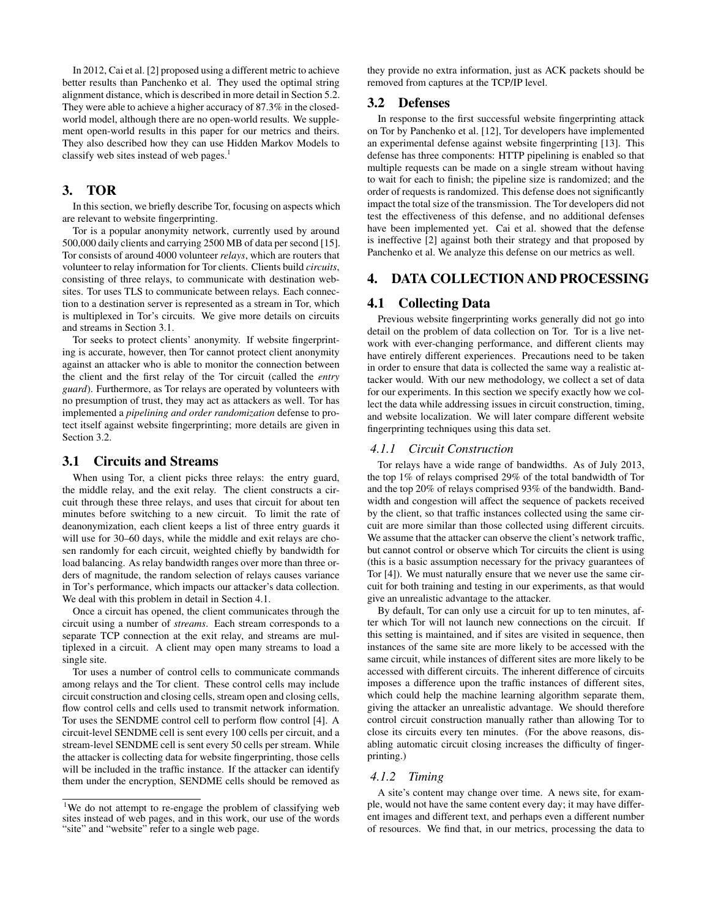In 2012, Cai et al. [2] proposed using a different metric to achieve better results than Panchenko et al. They used the optimal string alignment distance, which is described in more detail in Section 5.2. They were able to achieve a higher accuracy of 87.3% in the closedworld model, although there are no open-world results. We supplement open-world results in this paper for our metrics and theirs. They also described how they can use Hidden Markov Models to classify web sites instead of web pages. $<sup>1</sup>$ </sup>

## 3. TOR

In this section, we briefly describe Tor, focusing on aspects which are relevant to website fingerprinting.

Tor is a popular anonymity network, currently used by around 500,000 daily clients and carrying 2500 MB of data per second [15]. Tor consists of around 4000 volunteer *relays*, which are routers that volunteer to relay information for Tor clients. Clients build *circuits*, consisting of three relays, to communicate with destination websites. Tor uses TLS to communicate between relays. Each connection to a destination server is represented as a stream in Tor, which is multiplexed in Tor's circuits. We give more details on circuits and streams in Section 3.1.

Tor seeks to protect clients' anonymity. If website fingerprinting is accurate, however, then Tor cannot protect client anonymity against an attacker who is able to monitor the connection between the client and the first relay of the Tor circuit (called the *entry guard*). Furthermore, as Tor relays are operated by volunteers with no presumption of trust, they may act as attackers as well. Tor has implemented a *pipelining and order randomization* defense to protect itself against website fingerprinting; more details are given in Section 3.2.

### 3.1 Circuits and Streams

When using Tor, a client picks three relays: the entry guard, the middle relay, and the exit relay. The client constructs a circuit through these three relays, and uses that circuit for about ten minutes before switching to a new circuit. To limit the rate of deanonymization, each client keeps a list of three entry guards it will use for 30–60 days, while the middle and exit relays are chosen randomly for each circuit, weighted chiefly by bandwidth for load balancing. As relay bandwidth ranges over more than three orders of magnitude, the random selection of relays causes variance in Tor's performance, which impacts our attacker's data collection. We deal with this problem in detail in Section 4.1.

Once a circuit has opened, the client communicates through the circuit using a number of *streams*. Each stream corresponds to a separate TCP connection at the exit relay, and streams are multiplexed in a circuit. A client may open many streams to load a single site.

Tor uses a number of control cells to communicate commands among relays and the Tor client. These control cells may include circuit construction and closing cells, stream open and closing cells, flow control cells and cells used to transmit network information. Tor uses the SENDME control cell to perform flow control [4]. A circuit-level SENDME cell is sent every 100 cells per circuit, and a stream-level SENDME cell is sent every 50 cells per stream. While the attacker is collecting data for website fingerprinting, those cells will be included in the traffic instance. If the attacker can identify them under the encryption, SENDME cells should be removed as they provide no extra information, just as ACK packets should be removed from captures at the TCP/IP level.

### 3.2 Defenses

In response to the first successful website fingerprinting attack on Tor by Panchenko et al. [12], Tor developers have implemented an experimental defense against website fingerprinting [13]. This defense has three components: HTTP pipelining is enabled so that multiple requests can be made on a single stream without having to wait for each to finish; the pipeline size is randomized; and the order of requests is randomized. This defense does not significantly impact the total size of the transmission. The Tor developers did not test the effectiveness of this defense, and no additional defenses have been implemented yet. Cai et al. showed that the defense is ineffective [2] against both their strategy and that proposed by Panchenko et al. We analyze this defense on our metrics as well.

### 4. DATA COLLECTION AND PROCESSING

### 4.1 Collecting Data

Previous website fingerprinting works generally did not go into detail on the problem of data collection on Tor. Tor is a live network with ever-changing performance, and different clients may have entirely different experiences. Precautions need to be taken in order to ensure that data is collected the same way a realistic attacker would. With our new methodology, we collect a set of data for our experiments. In this section we specify exactly how we collect the data while addressing issues in circuit construction, timing, and website localization. We will later compare different website fingerprinting techniques using this data set.

#### *4.1.1 Circuit Construction*

Tor relays have a wide range of bandwidths. As of July 2013, the top 1% of relays comprised 29% of the total bandwidth of Tor and the top 20% of relays comprised 93% of the bandwidth. Bandwidth and congestion will affect the sequence of packets received by the client, so that traffic instances collected using the same circuit are more similar than those collected using different circuits. We assume that the attacker can observe the client's network traffic, but cannot control or observe which Tor circuits the client is using (this is a basic assumption necessary for the privacy guarantees of Tor [4]). We must naturally ensure that we never use the same circuit for both training and testing in our experiments, as that would give an unrealistic advantage to the attacker.

By default, Tor can only use a circuit for up to ten minutes, after which Tor will not launch new connections on the circuit. If this setting is maintained, and if sites are visited in sequence, then instances of the same site are more likely to be accessed with the same circuit, while instances of different sites are more likely to be accessed with different circuits. The inherent difference of circuits imposes a difference upon the traffic instances of different sites, which could help the machine learning algorithm separate them, giving the attacker an unrealistic advantage. We should therefore control circuit construction manually rather than allowing Tor to close its circuits every ten minutes. (For the above reasons, disabling automatic circuit closing increases the difficulty of fingerprinting.)

### *4.1.2 Timing*

A site's content may change over time. A news site, for example, would not have the same content every day; it may have different images and different text, and perhaps even a different number of resources. We find that, in our metrics, processing the data to

<sup>&</sup>lt;sup>1</sup>We do not attempt to re-engage the problem of classifying web sites instead of web pages, and in this work, our use of the words "site" and "website" refer to a single web page.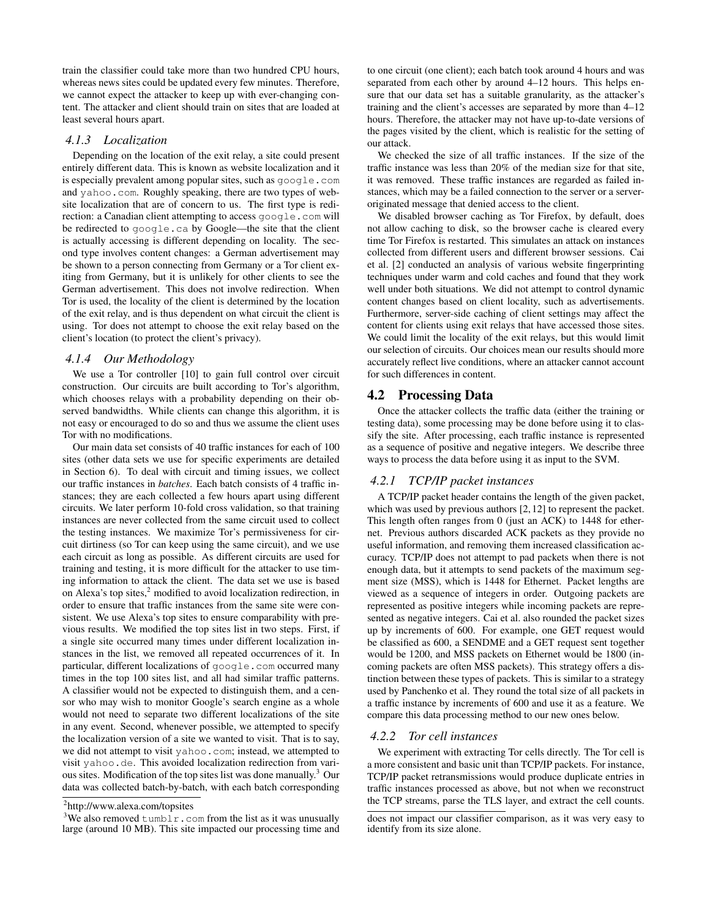train the classifier could take more than two hundred CPU hours, whereas news sites could be updated every few minutes. Therefore, we cannot expect the attacker to keep up with ever-changing content. The attacker and client should train on sites that are loaded at least several hours apart.

### *4.1.3 Localization*

Depending on the location of the exit relay, a site could present entirely different data. This is known as website localization and it is especially prevalent among popular sites, such as google.com and yahoo.com. Roughly speaking, there are two types of website localization that are of concern to us. The first type is redirection: a Canadian client attempting to access google.com will be redirected to google.ca by Google-the site that the client is actually accessing is different depending on locality. The second type involves content changes: a German advertisement may be shown to a person connecting from Germany or a Tor client exiting from Germany, but it is unlikely for other clients to see the German advertisement. This does not involve redirection. When Tor is used, the locality of the client is determined by the location of the exit relay, and is thus dependent on what circuit the client is using. Tor does not attempt to choose the exit relay based on the client's location (to protect the client's privacy).

### *4.1.4 Our Methodology*

We use a Tor controller [10] to gain full control over circuit construction. Our circuits are built according to Tor's algorithm, which chooses relays with a probability depending on their observed bandwidths. While clients can change this algorithm, it is not easy or encouraged to do so and thus we assume the client uses Tor with no modifications.

Our main data set consists of 40 traffic instances for each of 100 sites (other data sets we use for specific experiments are detailed in Section 6). To deal with circuit and timing issues, we collect our traffic instances in *batches*. Each batch consists of 4 traffic instances; they are each collected a few hours apart using different circuits. We later perform 10-fold cross validation, so that training instances are never collected from the same circuit used to collect the testing instances. We maximize Tor's permissiveness for circuit dirtiness (so Tor can keep using the same circuit), and we use each circuit as long as possible. As different circuits are used for training and testing, it is more difficult for the attacker to use timing information to attack the client. The data set we use is based on Alexa's top sites,<sup>2</sup> modified to avoid localization redirection, in order to ensure that traffic instances from the same site were consistent. We use Alexa's top sites to ensure comparability with previous results. We modified the top sites list in two steps. First, if a single site occurred many times under different localization instances in the list, we removed all repeated occurrences of it. In particular, different localizations of google.com occurred many times in the top 100 sites list, and all had similar traffic patterns. A classifier would not be expected to distinguish them, and a censor who may wish to monitor Google's search engine as a whole would not need to separate two different localizations of the site in any event. Second, whenever possible, we attempted to specify the localization version of a site we wanted to visit. That is to say, we did not attempt to visit yahoo.com; instead, we attempted to visit yahoo.de. This avoided localization redirection from various sites. Modification of the top sites list was done manually.<sup>3</sup> Our data was collected batch-by-batch, with each batch corresponding

<sup>3</sup>We also removed  $\text{tumblr}.\text{com from the list as it was unusually}$ large (around 10 MB). This site impacted our processing time and to one circuit (one client); each batch took around 4 hours and was separated from each other by around 4–12 hours. This helps ensure that our data set has a suitable granularity, as the attacker's training and the client's accesses are separated by more than 4–12 hours. Therefore, the attacker may not have up-to-date versions of the pages visited by the client, which is realistic for the setting of our attack.

We checked the size of all traffic instances. If the size of the traffic instance was less than 20% of the median size for that site, it was removed. These traffic instances are regarded as failed instances, which may be a failed connection to the server or a serveroriginated message that denied access to the client.

We disabled browser caching as Tor Firefox, by default, does not allow caching to disk, so the browser cache is cleared every time Tor Firefox is restarted. This simulates an attack on instances collected from different users and different browser sessions. Cai et al. [2] conducted an analysis of various website fingerprinting techniques under warm and cold caches and found that they work well under both situations. We did not attempt to control dynamic content changes based on client locality, such as advertisements. Furthermore, server-side caching of client settings may affect the content for clients using exit relays that have accessed those sites. We could limit the locality of the exit relays, but this would limit our selection of circuits. Our choices mean our results should more accurately reflect live conditions, where an attacker cannot account for such differences in content.

### 4.2 Processing Data

Once the attacker collects the traffic data (either the training or testing data), some processing may be done before using it to classify the site. After processing, each traffic instance is represented as a sequence of positive and negative integers. We describe three ways to process the data before using it as input to the SVM.

#### *4.2.1 TCP/IP packet instances*

A TCP/IP packet header contains the length of the given packet, which was used by previous authors [2, 12] to represent the packet. This length often ranges from 0 (just an ACK) to 1448 for ethernet. Previous authors discarded ACK packets as they provide no useful information, and removing them increased classification accuracy. TCP/IP does not attempt to pad packets when there is not enough data, but it attempts to send packets of the maximum segment size (MSS), which is 1448 for Ethernet. Packet lengths are viewed as a sequence of integers in order. Outgoing packets are represented as positive integers while incoming packets are represented as negative integers. Cai et al. also rounded the packet sizes up by increments of 600. For example, one GET request would be classified as 600, a SENDME and a GET request sent together would be 1200, and MSS packets on Ethernet would be 1800 (incoming packets are often MSS packets). This strategy offers a distinction between these types of packets. This is similar to a strategy used by Panchenko et al. They round the total size of all packets in a traffic instance by increments of 600 and use it as a feature. We compare this data processing method to our new ones below.

#### *4.2.2 Tor cell instances*

We experiment with extracting Tor cells directly. The Tor cell is a more consistent and basic unit than TCP/IP packets. For instance, TCP/IP packet retransmissions would produce duplicate entries in traffic instances processed as above, but not when we reconstruct the TCP streams, parse the TLS layer, and extract the cell counts.

<sup>&</sup>lt;sup>2</sup>http://www.alexa.com/topsites

does not impact our classifier comparison, as it was very easy to identify from its size alone.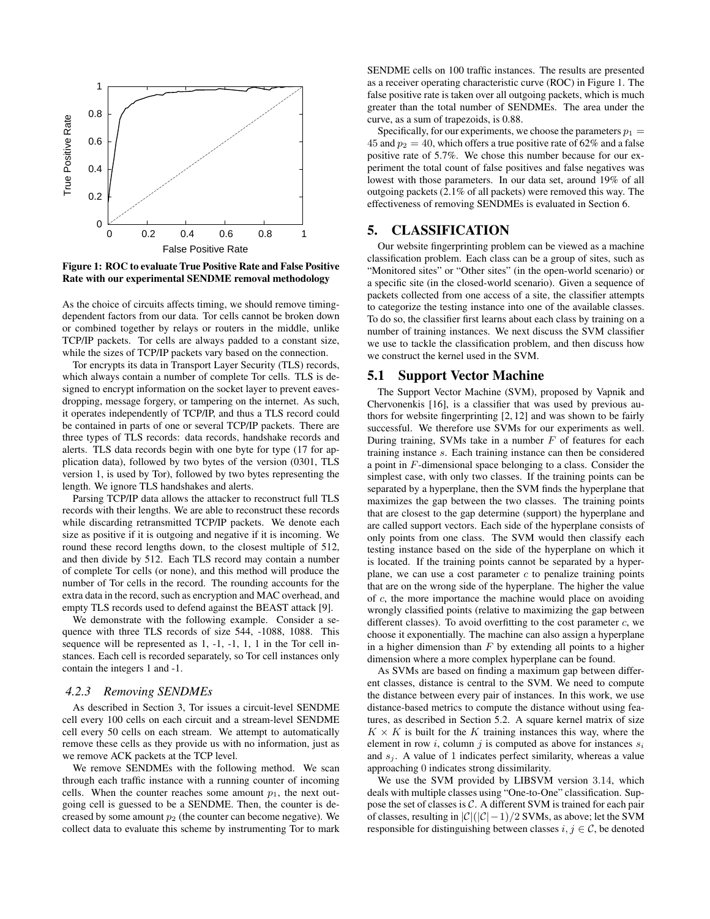

Figure 1: ROC to evaluate True Positive Rate and False Positive Rate with our experimental SENDME removal methodology

As the choice of circuits affects timing, we should remove timingdependent factors from our data. Tor cells cannot be broken down or combined together by relays or routers in the middle, unlike TCP/IP packets. Tor cells are always padded to a constant size, while the sizes of TCP/IP packets vary based on the connection.

Tor encrypts its data in Transport Layer Security (TLS) records, which always contain a number of complete Tor cells. TLS is designed to encrypt information on the socket layer to prevent eavesdropping, message forgery, or tampering on the internet. As such, it operates independently of TCP/IP, and thus a TLS record could be contained in parts of one or several TCP/IP packets. There are three types of TLS records: data records, handshake records and alerts. TLS data records begin with one byte for type (17 for application data), followed by two bytes of the version (0301, TLS version 1, is used by Tor), followed by two bytes representing the length. We ignore TLS handshakes and alerts.

Parsing TCP/IP data allows the attacker to reconstruct full TLS records with their lengths. We are able to reconstruct these records while discarding retransmitted TCP/IP packets. We denote each size as positive if it is outgoing and negative if it is incoming. We round these record lengths down, to the closest multiple of 512, and then divide by 512. Each TLS record may contain a number of complete Tor cells (or none), and this method will produce the number of Tor cells in the record. The rounding accounts for the extra data in the record, such as encryption and MAC overhead, and empty TLS records used to defend against the BEAST attack [9].

We demonstrate with the following example. Consider a sequence with three TLS records of size 544, -1088, 1088. This sequence will be represented as 1, -1, -1, 1, 1 in the Tor cell instances. Each cell is recorded separately, so Tor cell instances only contain the integers 1 and -1.

#### *4.2.3 Removing SENDMEs*

As described in Section 3, Tor issues a circuit-level SENDME cell every 100 cells on each circuit and a stream-level SENDME cell every 50 cells on each stream. We attempt to automatically remove these cells as they provide us with no information, just as we remove ACK packets at the TCP level.

We remove SENDMEs with the following method. We scan through each traffic instance with a running counter of incoming cells. When the counter reaches some amount  $p_1$ , the next outgoing cell is guessed to be a SENDME. Then, the counter is decreased by some amount  $p_2$  (the counter can become negative). We collect data to evaluate this scheme by instrumenting Tor to mark

SENDME cells on 100 traffic instances. The results are presented as a receiver operating characteristic curve (ROC) in Figure 1. The false positive rate is taken over all outgoing packets, which is much greater than the total number of SENDMEs. The area under the curve, as a sum of trapezoids, is 0.88.

Specifically, for our experiments, we choose the parameters  $p_1$  = 45 and  $p_2 = 40$ , which offers a true positive rate of 62% and a false positive rate of 5.7%. We chose this number because for our experiment the total count of false positives and false negatives was lowest with those parameters. In our data set, around 19% of all outgoing packets (2.1% of all packets) were removed this way. The effectiveness of removing SENDMEs is evaluated in Section 6.

## 5. CLASSIFICATION

Our website fingerprinting problem can be viewed as a machine classification problem. Each class can be a group of sites, such as "Monitored sites" or "Other sites" (in the open-world scenario) or a specific site (in the closed-world scenario). Given a sequence of packets collected from one access of a site, the classifier attempts to categorize the testing instance into one of the available classes. To do so, the classifier first learns about each class by training on a number of training instances. We next discuss the SVM classifier we use to tackle the classification problem, and then discuss how we construct the kernel used in the SVM.

#### 5.1 Support Vector Machine

The Support Vector Machine (SVM), proposed by Vapnik and Chervonenkis [16], is a classifier that was used by previous authors for website fingerprinting [2, 12] and was shown to be fairly successful. We therefore use SVMs for our experiments as well. During training, SVMs take in a number  $F$  of features for each training instance s. Each training instance can then be considered a point in F-dimensional space belonging to a class. Consider the simplest case, with only two classes. If the training points can be separated by a hyperplane, then the SVM finds the hyperplane that maximizes the gap between the two classes. The training points that are closest to the gap determine (support) the hyperplane and are called support vectors. Each side of the hyperplane consists of only points from one class. The SVM would then classify each testing instance based on the side of the hyperplane on which it is located. If the training points cannot be separated by a hyperplane, we can use a cost parameter  $c$  to penalize training points that are on the wrong side of the hyperplane. The higher the value of c, the more importance the machine would place on avoiding wrongly classified points (relative to maximizing the gap between different classes). To avoid overfitting to the cost parameter  $c$ , we choose it exponentially. The machine can also assign a hyperplane in a higher dimension than  $F$  by extending all points to a higher dimension where a more complex hyperplane can be found.

As SVMs are based on finding a maximum gap between different classes, distance is central to the SVM. We need to compute the distance between every pair of instances. In this work, we use distance-based metrics to compute the distance without using features, as described in Section 5.2. A square kernel matrix of size  $K \times K$  is built for the K training instances this way, where the element in row i, column j is computed as above for instances  $s_i$ and  $s_i$ . A value of 1 indicates perfect similarity, whereas a value approaching 0 indicates strong dissimilarity.

We use the SVM provided by LIBSVM version 3.14, which deals with multiple classes using "One-to-One" classification. Suppose the set of classes is C. A different SVM is trained for each pair of classes, resulting in  $|C|(|C|-1)/2$  SVMs, as above; let the SVM responsible for distinguishing between classes  $i, j \in \mathcal{C}$ , be denoted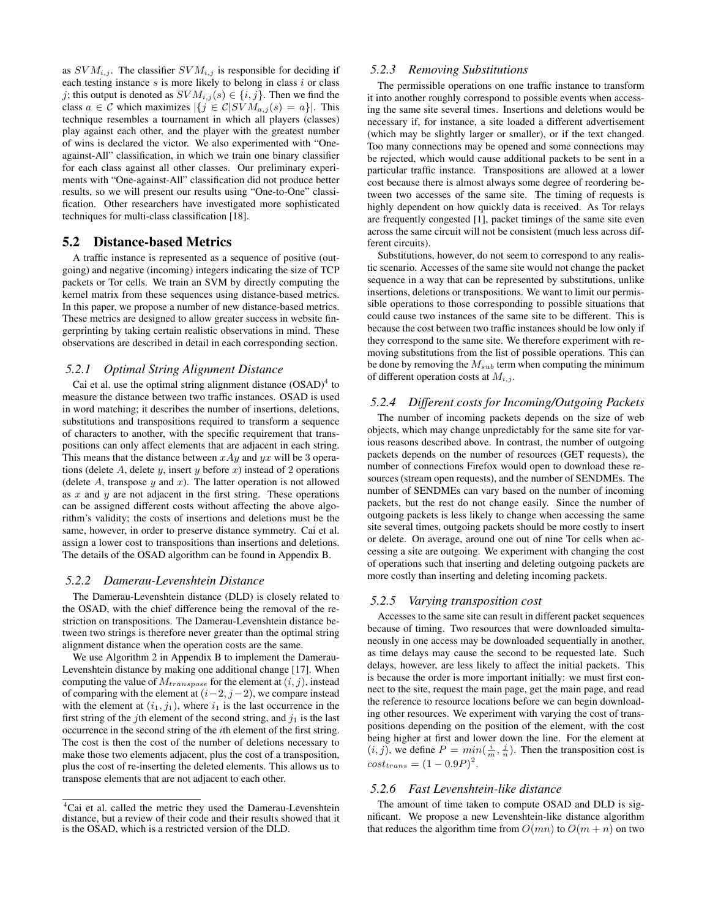as  $SVM_{i,j}$ . The classifier  $SVM_{i,j}$  is responsible for deciding if each testing instance  $s$  is more likely to belong in class  $i$  or class j; this output is denoted as  $SVM_{i,j}(s) \in \{i, j\}$ . Then we find the class  $a \in \mathcal{C}$  which maximizes  $|\{j \in \mathcal{C}| SVM_{a,j}(s) = a\}|$ . This technique resembles a tournament in which all players (classes) play against each other, and the player with the greatest number of wins is declared the victor. We also experimented with "Oneagainst-All" classification, in which we train one binary classifier for each class against all other classes. Our preliminary experiments with "One-against-All" classification did not produce better results, so we will present our results using "One-to-One" classification. Other researchers have investigated more sophisticated techniques for multi-class classification [18].

### 5.2 Distance-based Metrics

A traffic instance is represented as a sequence of positive (outgoing) and negative (incoming) integers indicating the size of TCP packets or Tor cells. We train an SVM by directly computing the kernel matrix from these sequences using distance-based metrics. In this paper, we propose a number of new distance-based metrics. These metrics are designed to allow greater success in website fingerprinting by taking certain realistic observations in mind. These observations are described in detail in each corresponding section.

#### *5.2.1 Optimal String Alignment Distance*

Cai et al. use the optimal string alignment distance  $(OSAD)^4$  to measure the distance between two traffic instances. OSAD is used in word matching; it describes the number of insertions, deletions, substitutions and transpositions required to transform a sequence of characters to another, with the specific requirement that transpositions can only affect elements that are adjacent in each string. This means that the distance between  $xAy$  and  $yx$  will be 3 operations (delete  $A$ , delete  $y$ , insert  $y$  before  $x$ ) instead of 2 operations (delete  $A$ , transpose  $y$  and  $x$ ). The latter operation is not allowed as  $x$  and  $y$  are not adjacent in the first string. These operations can be assigned different costs without affecting the above algorithm's validity; the costs of insertions and deletions must be the same, however, in order to preserve distance symmetry. Cai et al. assign a lower cost to transpositions than insertions and deletions. The details of the OSAD algorithm can be found in Appendix B.

#### *5.2.2 Damerau-Levenshtein Distance*

The Damerau-Levenshtein distance (DLD) is closely related to the OSAD, with the chief difference being the removal of the restriction on transpositions. The Damerau-Levenshtein distance between two strings is therefore never greater than the optimal string alignment distance when the operation costs are the same.

We use Algorithm 2 in Appendix B to implement the Damerau-Levenshtein distance by making one additional change [17]. When computing the value of  $M_{transpose}$  for the element at  $(i, j)$ , instead of comparing with the element at  $(i-2, j-2)$ , we compare instead with the element at  $(i_1, j_1)$ , where  $i_1$  is the last occurrence in the first string of the jth element of the second string, and  $j_1$  is the last occurrence in the second string of the ith element of the first string. The cost is then the cost of the number of deletions necessary to make those two elements adjacent, plus the cost of a transposition, plus the cost of re-inserting the deleted elements. This allows us to transpose elements that are not adjacent to each other.

#### *5.2.3 Removing Substitutions*

The permissible operations on one traffic instance to transform it into another roughly correspond to possible events when accessing the same site several times. Insertions and deletions would be necessary if, for instance, a site loaded a different advertisement (which may be slightly larger or smaller), or if the text changed. Too many connections may be opened and some connections may be rejected, which would cause additional packets to be sent in a particular traffic instance. Transpositions are allowed at a lower cost because there is almost always some degree of reordering between two accesses of the same site. The timing of requests is highly dependent on how quickly data is received. As Tor relays are frequently congested [1], packet timings of the same site even across the same circuit will not be consistent (much less across different circuits).

Substitutions, however, do not seem to correspond to any realistic scenario. Accesses of the same site would not change the packet sequence in a way that can be represented by substitutions, unlike insertions, deletions or transpositions. We want to limit our permissible operations to those corresponding to possible situations that could cause two instances of the same site to be different. This is because the cost between two traffic instances should be low only if they correspond to the same site. We therefore experiment with removing substitutions from the list of possible operations. This can be done by removing the  $M_{sub}$  term when computing the minimum of different operation costs at  $M_{i,j}$ .

### *5.2.4 Different costs for Incoming/Outgoing Packets*

The number of incoming packets depends on the size of web objects, which may change unpredictably for the same site for various reasons described above. In contrast, the number of outgoing packets depends on the number of resources (GET requests), the number of connections Firefox would open to download these resources (stream open requests), and the number of SENDMEs. The number of SENDMEs can vary based on the number of incoming packets, but the rest do not change easily. Since the number of outgoing packets is less likely to change when accessing the same site several times, outgoing packets should be more costly to insert or delete. On average, around one out of nine Tor cells when accessing a site are outgoing. We experiment with changing the cost of operations such that inserting and deleting outgoing packets are more costly than inserting and deleting incoming packets.

#### *5.2.5 Varying transposition cost*

Accesses to the same site can result in different packet sequences because of timing. Two resources that were downloaded simultaneously in one access may be downloaded sequentially in another, as time delays may cause the second to be requested late. Such delays, however, are less likely to affect the initial packets. This is because the order is more important initially: we must first connect to the site, request the main page, get the main page, and read the reference to resource locations before we can begin downloading other resources. We experiment with varying the cost of transpositions depending on the position of the element, with the cost being higher at first and lower down the line. For the element at  $(i, j)$ , we define  $P = min(\frac{i}{m}, \frac{j}{n})$ . Then the transposition cost is  $cost_{trans} = (1 - 0.9P)^{2}.$ 

#### *5.2.6 Fast Levenshtein-like distance*

The amount of time taken to compute OSAD and DLD is significant. We propose a new Levenshtein-like distance algorithm that reduces the algorithm time from  $O(mn)$  to  $O(m + n)$  on two

<sup>4</sup>Cai et al. called the metric they used the Damerau-Levenshtein distance, but a review of their code and their results showed that it is the OSAD, which is a restricted version of the DLD.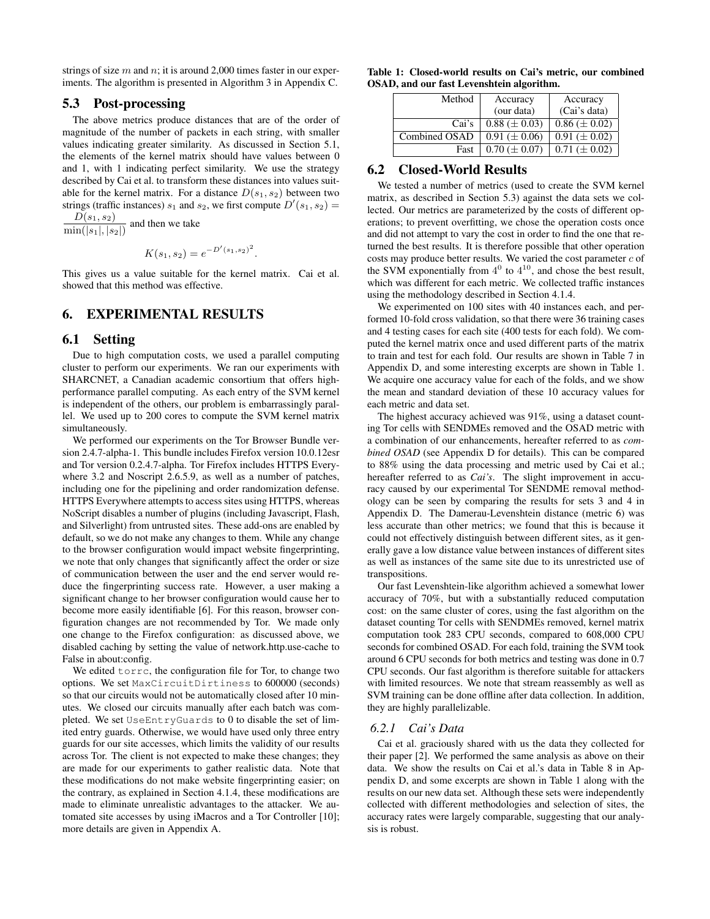strings of size  $m$  and  $n$ ; it is around 2,000 times faster in our experiments. The algorithm is presented in Algorithm 3 in Appendix C.

### 5.3 Post-processing

The above metrics produce distances that are of the order of magnitude of the number of packets in each string, with smaller values indicating greater similarity. As discussed in Section 5.1, the elements of the kernel matrix should have values between 0 and 1, with 1 indicating perfect similarity. We use the strategy described by Cai et al. to transform these distances into values suitable for the kernel matrix. For a distance  $D(s_1, s_2)$  between two strings (traffic instances)  $s_1$  and  $s_2$ , we first compute  $D'(s_1, s_2) =$ 

 $D(s_1, s_2)$  $\min(|s_1|, |s_2|)$ and then we take

$$
K(s_1, s_2) = e^{-D'(s_1, s_2)^2}.
$$

This gives us a value suitable for the kernel matrix. Cai et al. showed that this method was effective.

## 6. EXPERIMENTAL RESULTS

#### 6.1 Setting

Due to high computation costs, we used a parallel computing cluster to perform our experiments. We ran our experiments with SHARCNET, a Canadian academic consortium that offers highperformance parallel computing. As each entry of the SVM kernel is independent of the others, our problem is embarrassingly parallel. We used up to 200 cores to compute the SVM kernel matrix simultaneously.

We performed our experiments on the Tor Browser Bundle version 2.4.7-alpha-1. This bundle includes Firefox version 10.0.12esr and Tor version 0.2.4.7-alpha. Tor Firefox includes HTTPS Everywhere 3.2 and Noscript 2.6.5.9, as well as a number of patches, including one for the pipelining and order randomization defense. HTTPS Everywhere attempts to access sites using HTTPS, whereas NoScript disables a number of plugins (including Javascript, Flash, and Silverlight) from untrusted sites. These add-ons are enabled by default, so we do not make any changes to them. While any change to the browser configuration would impact website fingerprinting, we note that only changes that significantly affect the order or size of communication between the user and the end server would reduce the fingerprinting success rate. However, a user making a significant change to her browser configuration would cause her to become more easily identifiable [6]. For this reason, browser configuration changes are not recommended by Tor. We made only one change to the Firefox configuration: as discussed above, we disabled caching by setting the value of network.http.use-cache to False in about:config.

We edited torrc, the configuration file for Tor, to change two options. We set MaxCircuitDirtiness to 600000 (seconds) so that our circuits would not be automatically closed after 10 minutes. We closed our circuits manually after each batch was completed. We set UseEntryGuards to 0 to disable the set of limited entry guards. Otherwise, we would have used only three entry guards for our site accesses, which limits the validity of our results across Tor. The client is not expected to make these changes; they are made for our experiments to gather realistic data. Note that these modifications do not make website fingerprinting easier; on the contrary, as explained in Section 4.1.4, these modifications are made to eliminate unrealistic advantages to the attacker. We automated site accesses by using iMacros and a Tor Controller [10]; more details are given in Appendix A.

Table 1: Closed-world results on Cai's metric, our combined OSAD, and our fast Levenshtein algorithm.

| Method        | Accuracy                     | Accuracy            |
|---------------|------------------------------|---------------------|
|               | (our data)                   | (Cai's data)        |
| Cai's         | $0.88 \ (\pm 0.03)$          | $0.86 \ (\pm 0.02)$ |
| Combined OSAD | $\overline{0.91 (\pm 0.06)}$ | $0.91 \ (\pm 0.02)$ |
| Fast          | $0.70 \ (\pm 0.07)$          | $0.71 \ (\pm 0.02)$ |

### 6.2 Closed-World Results

We tested a number of metrics (used to create the SVM kernel matrix, as described in Section 5.3) against the data sets we collected. Our metrics are parameterized by the costs of different operations; to prevent overfitting, we chose the operation costs once and did not attempt to vary the cost in order to find the one that returned the best results. It is therefore possible that other operation costs may produce better results. We varied the cost parameter  $c$  of the SVM exponentially from  $4^0$  to  $4^{10}$ , and chose the best result, which was different for each metric. We collected traffic instances using the methodology described in Section 4.1.4.

We experimented on 100 sites with 40 instances each, and performed 10-fold cross validation, so that there were 36 training cases and 4 testing cases for each site (400 tests for each fold). We computed the kernel matrix once and used different parts of the matrix to train and test for each fold. Our results are shown in Table 7 in Appendix D, and some interesting excerpts are shown in Table 1. We acquire one accuracy value for each of the folds, and we show the mean and standard deviation of these 10 accuracy values for each metric and data set.

The highest accuracy achieved was 91%, using a dataset counting Tor cells with SENDMEs removed and the OSAD metric with a combination of our enhancements, hereafter referred to as *combined OSAD* (see Appendix D for details). This can be compared to 88% using the data processing and metric used by Cai et al.; hereafter referred to as *Cai's*. The slight improvement in accuracy caused by our experimental Tor SENDME removal methodology can be seen by comparing the results for sets 3 and 4 in Appendix D. The Damerau-Levenshtein distance (metric 6) was less accurate than other metrics; we found that this is because it could not effectively distinguish between different sites, as it generally gave a low distance value between instances of different sites as well as instances of the same site due to its unrestricted use of transpositions.

Our fast Levenshtein-like algorithm achieved a somewhat lower accuracy of 70%, but with a substantially reduced computation cost: on the same cluster of cores, using the fast algorithm on the dataset counting Tor cells with SENDMEs removed, kernel matrix computation took 283 CPU seconds, compared to 608,000 CPU seconds for combined OSAD. For each fold, training the SVM took around 6 CPU seconds for both metrics and testing was done in 0.7 CPU seconds. Our fast algorithm is therefore suitable for attackers with limited resources. We note that stream reassembly as well as SVM training can be done offline after data collection. In addition, they are highly parallelizable.

#### *6.2.1 Cai's Data*

Cai et al. graciously shared with us the data they collected for their paper [2]. We performed the same analysis as above on their data. We show the results on Cai et al.'s data in Table 8 in Appendix D, and some excerpts are shown in Table 1 along with the results on our new data set. Although these sets were independently collected with different methodologies and selection of sites, the accuracy rates were largely comparable, suggesting that our analysis is robust.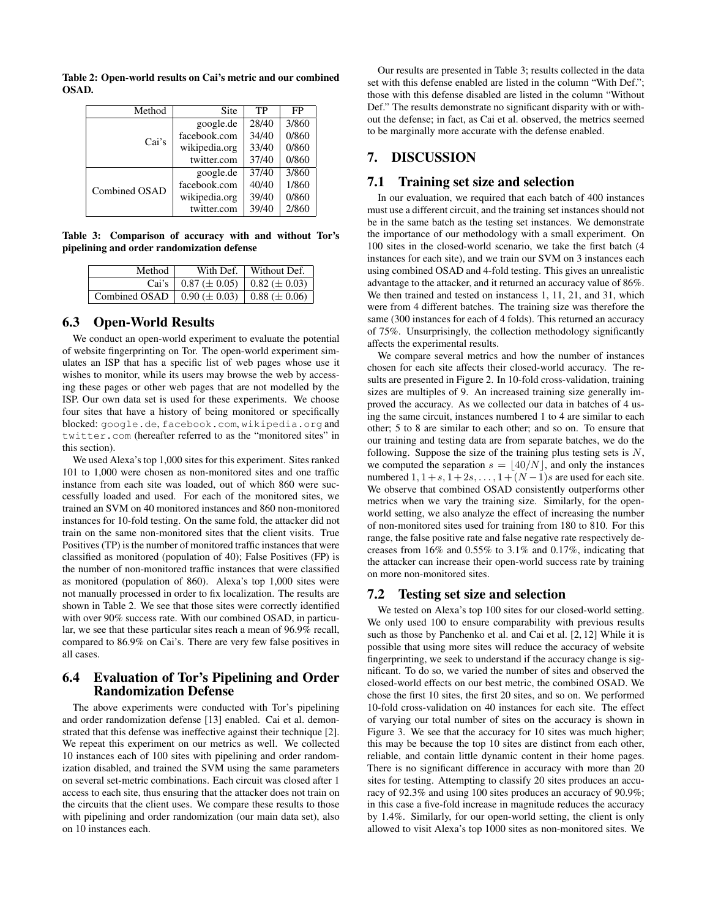Table 2: Open-world results on Cai's metric and our combined OSAD.

| Method        | <b>Site</b>   | TP    | FP    |
|---------------|---------------|-------|-------|
|               | google.de     | 28/40 | 3/860 |
| Cai's         | facebook.com  | 34/40 | 0/860 |
|               | wikipedia.org | 33/40 | 0/860 |
|               | twitter.com   | 37/40 | 0/860 |
|               | google.de     | 37/40 | 3/860 |
| Combined OSAD | facebook.com  | 40/40 | 1/860 |
|               | wikipedia.org | 39/40 | 0/860 |
|               | twitter.com   | 39/40 | 2/860 |

Table 3: Comparison of accuracy with and without Tor's pipelining and order randomization defense

| Method                                                    |                                                   | With Def.   Without Def. |
|-----------------------------------------------------------|---------------------------------------------------|--------------------------|
|                                                           | Cai's   $0.87 \ (\pm 0.05)$   $0.82 \ (\pm 0.03)$ |                          |
| Combined OSAD   $0.90 \ (\pm 0.03)$   $0.88 \ (\pm 0.06)$ |                                                   |                          |

## 6.3 Open-World Results

We conduct an open-world experiment to evaluate the potential of website fingerprinting on Tor. The open-world experiment simulates an ISP that has a specific list of web pages whose use it wishes to monitor, while its users may browse the web by accessing these pages or other web pages that are not modelled by the ISP. Our own data set is used for these experiments. We choose four sites that have a history of being monitored or specifically blocked: google.de, facebook.com, wikipedia.org and twitter.com (hereafter referred to as the "monitored sites" in this section).

We used Alexa's top 1,000 sites for this experiment. Sites ranked 101 to 1,000 were chosen as non-monitored sites and one traffic instance from each site was loaded, out of which 860 were successfully loaded and used. For each of the monitored sites, we trained an SVM on 40 monitored instances and 860 non-monitored instances for 10-fold testing. On the same fold, the attacker did not train on the same non-monitored sites that the client visits. True Positives (TP) is the number of monitored traffic instances that were classified as monitored (population of 40); False Positives (FP) is the number of non-monitored traffic instances that were classified as monitored (population of 860). Alexa's top 1,000 sites were not manually processed in order to fix localization. The results are shown in Table 2. We see that those sites were correctly identified with over 90% success rate. With our combined OSAD, in particular, we see that these particular sites reach a mean of 96.9% recall, compared to 86.9% on Cai's. There are very few false positives in all cases.

## 6.4 Evaluation of Tor's Pipelining and Order Randomization Defense

The above experiments were conducted with Tor's pipelining and order randomization defense [13] enabled. Cai et al. demonstrated that this defense was ineffective against their technique [2]. We repeat this experiment on our metrics as well. We collected 10 instances each of 100 sites with pipelining and order randomization disabled, and trained the SVM using the same parameters on several set-metric combinations. Each circuit was closed after 1 access to each site, thus ensuring that the attacker does not train on the circuits that the client uses. We compare these results to those with pipelining and order randomization (our main data set), also on 10 instances each.

Our results are presented in Table 3; results collected in the data set with this defense enabled are listed in the column "With Def."; those with this defense disabled are listed in the column "Without Def." The results demonstrate no significant disparity with or without the defense; in fact, as Cai et al. observed, the metrics seemed to be marginally more accurate with the defense enabled.

## 7. DISCUSSION

### 7.1 Training set size and selection

In our evaluation, we required that each batch of 400 instances must use a different circuit, and the training set instances should not be in the same batch as the testing set instances. We demonstrate the importance of our methodology with a small experiment. On 100 sites in the closed-world scenario, we take the first batch (4 instances for each site), and we train our SVM on 3 instances each using combined OSAD and 4-fold testing. This gives an unrealistic advantage to the attacker, and it returned an accuracy value of 86%. We then trained and tested on instancess 1, 11, 21, and 31, which were from 4 different batches. The training size was therefore the same (300 instances for each of 4 folds). This returned an accuracy of 75%. Unsurprisingly, the collection methodology significantly affects the experimental results.

We compare several metrics and how the number of instances chosen for each site affects their closed-world accuracy. The results are presented in Figure 2. In 10-fold cross-validation, training sizes are multiples of 9. An increased training size generally improved the accuracy. As we collected our data in batches of 4 using the same circuit, instances numbered 1 to 4 are similar to each other; 5 to 8 are similar to each other; and so on. To ensure that our training and testing data are from separate batches, we do the following. Suppose the size of the training plus testing sets is  $N$ , we computed the separation  $s = |40/N|$ , and only the instances numbered  $1, 1+s, 1+2s, \ldots, 1+(N-1)s$  are used for each site. We observe that combined OSAD consistently outperforms other metrics when we vary the training size. Similarly, for the openworld setting, we also analyze the effect of increasing the number of non-monitored sites used for training from 180 to 810. For this range, the false positive rate and false negative rate respectively decreases from 16% and 0.55% to 3.1% and 0.17%, indicating that the attacker can increase their open-world success rate by training on more non-monitored sites.

### 7.2 Testing set size and selection

We tested on Alexa's top 100 sites for our closed-world setting. We only used 100 to ensure comparability with previous results such as those by Panchenko et al. and Cai et al. [2, 12] While it is possible that using more sites will reduce the accuracy of website fingerprinting, we seek to understand if the accuracy change is significant. To do so, we varied the number of sites and observed the closed-world effects on our best metric, the combined OSAD. We chose the first 10 sites, the first 20 sites, and so on. We performed 10-fold cross-validation on 40 instances for each site. The effect of varying our total number of sites on the accuracy is shown in Figure 3. We see that the accuracy for 10 sites was much higher; this may be because the top 10 sites are distinct from each other, reliable, and contain little dynamic content in their home pages. There is no significant difference in accuracy with more than 20 sites for testing. Attempting to classify 20 sites produces an accuracy of 92.3% and using 100 sites produces an accuracy of 90.9%; in this case a five-fold increase in magnitude reduces the accuracy by 1.4%. Similarly, for our open-world setting, the client is only allowed to visit Alexa's top 1000 sites as non-monitored sites. We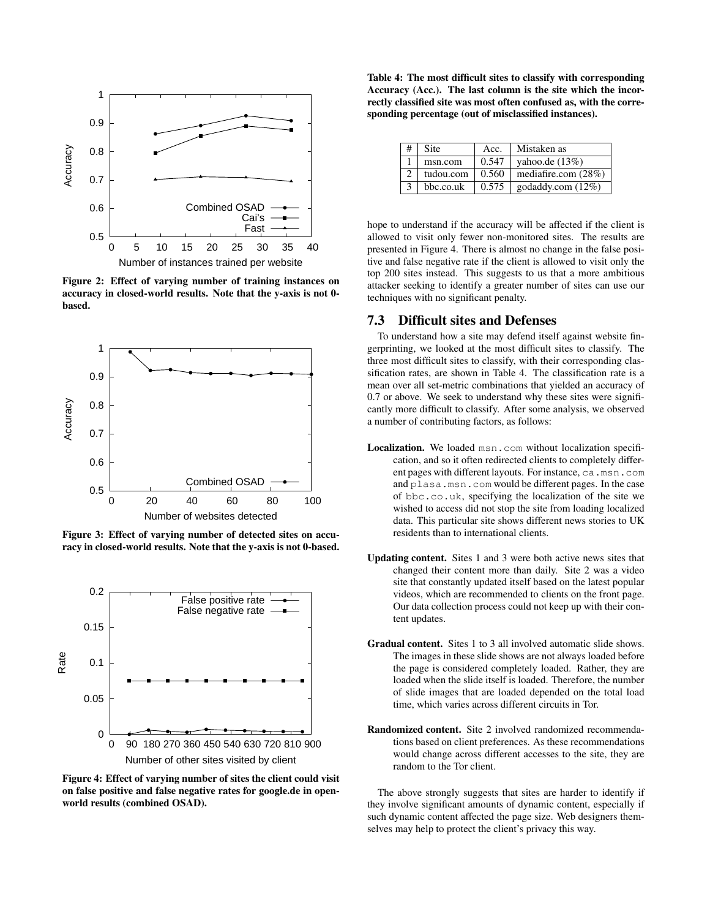

Figure 2: Effect of varying number of training instances on accuracy in closed-world results. Note that the y-axis is not 0 based.



Figure 3: Effect of varying number of detected sites on accuracy in closed-world results. Note that the y-axis is not 0-based.



Figure 4: Effect of varying number of sites the client could visit on false positive and false negative rates for google.de in openworld results (combined OSAD).

Table 4: The most difficult sites to classify with corresponding Accuracy (Acc.). The last column is the site which the incorrectly classified site was most often confused as, with the corresponding percentage (out of misclassified instances).

| Site      | Acc.  | Mistaken as           |
|-----------|-------|-----------------------|
| msn.com   | 0.547 | vahoo.de $(13%)$      |
| tudou.com | 0.560 | mediafire.com $(28%)$ |
| bbc.co.uk | 0.575 | godaddy.com $(12\%)$  |

hope to understand if the accuracy will be affected if the client is allowed to visit only fewer non-monitored sites. The results are presented in Figure 4. There is almost no change in the false positive and false negative rate if the client is allowed to visit only the top 200 sites instead. This suggests to us that a more ambitious attacker seeking to identify a greater number of sites can use our techniques with no significant penalty.

### 7.3 Difficult sites and Defenses

To understand how a site may defend itself against website fingerprinting, we looked at the most difficult sites to classify. The three most difficult sites to classify, with their corresponding classification rates, are shown in Table 4. The classification rate is a mean over all set-metric combinations that yielded an accuracy of 0.7 or above. We seek to understand why these sites were significantly more difficult to classify. After some analysis, we observed a number of contributing factors, as follows:

- Localization. We loaded msn.com without localization specification, and so it often redirected clients to completely different pages with different layouts. For instance, ca.msn.com and plasa.msn.com would be different pages. In the case of bbc.co.uk, specifying the localization of the site we wished to access did not stop the site from loading localized data. This particular site shows different news stories to UK residents than to international clients.
- Updating content. Sites 1 and 3 were both active news sites that changed their content more than daily. Site 2 was a video site that constantly updated itself based on the latest popular videos, which are recommended to clients on the front page. Our data collection process could not keep up with their content updates.
- Gradual content. Sites 1 to 3 all involved automatic slide shows. The images in these slide shows are not always loaded before the page is considered completely loaded. Rather, they are loaded when the slide itself is loaded. Therefore, the number of slide images that are loaded depended on the total load time, which varies across different circuits in Tor.
- Randomized content. Site 2 involved randomized recommendations based on client preferences. As these recommendations would change across different accesses to the site, they are random to the Tor client.

The above strongly suggests that sites are harder to identify if they involve significant amounts of dynamic content, especially if such dynamic content affected the page size. Web designers themselves may help to protect the client's privacy this way.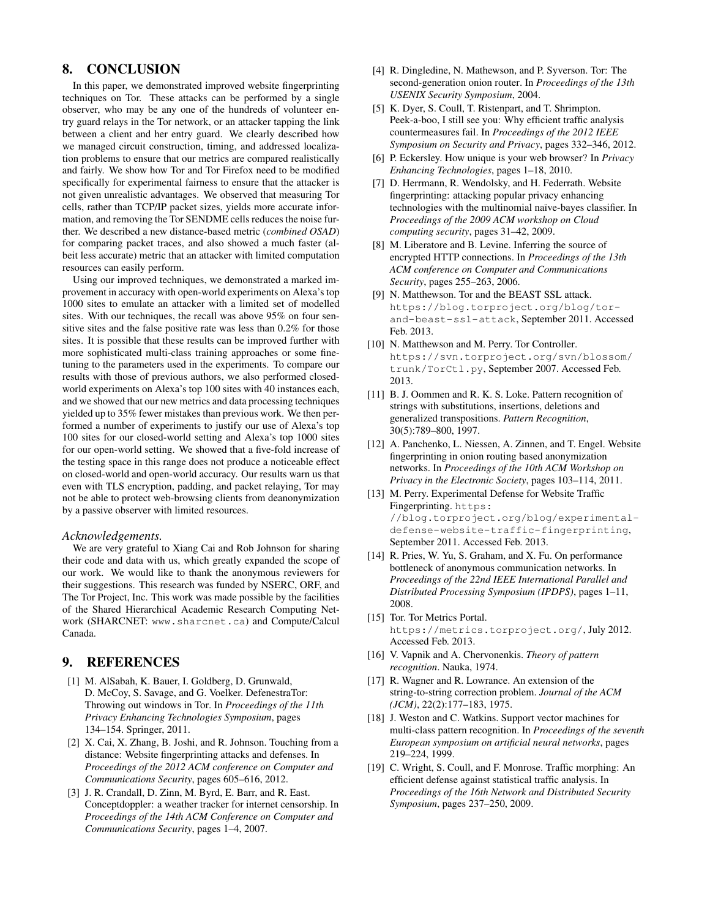## 8. CONCLUSION

In this paper, we demonstrated improved website fingerprinting techniques on Tor. These attacks can be performed by a single observer, who may be any one of the hundreds of volunteer entry guard relays in the Tor network, or an attacker tapping the link between a client and her entry guard. We clearly described how we managed circuit construction, timing, and addressed localization problems to ensure that our metrics are compared realistically and fairly. We show how Tor and Tor Firefox need to be modified specifically for experimental fairness to ensure that the attacker is not given unrealistic advantages. We observed that measuring Tor cells, rather than TCP/IP packet sizes, yields more accurate information, and removing the Tor SENDME cells reduces the noise further. We described a new distance-based metric (*combined OSAD*) for comparing packet traces, and also showed a much faster (albeit less accurate) metric that an attacker with limited computation resources can easily perform.

Using our improved techniques, we demonstrated a marked improvement in accuracy with open-world experiments on Alexa's top 1000 sites to emulate an attacker with a limited set of modelled sites. With our techniques, the recall was above 95% on four sensitive sites and the false positive rate was less than 0.2% for those sites. It is possible that these results can be improved further with more sophisticated multi-class training approaches or some finetuning to the parameters used in the experiments. To compare our results with those of previous authors, we also performed closedworld experiments on Alexa's top 100 sites with 40 instances each, and we showed that our new metrics and data processing techniques yielded up to 35% fewer mistakes than previous work. We then performed a number of experiments to justify our use of Alexa's top 100 sites for our closed-world setting and Alexa's top 1000 sites for our open-world setting. We showed that a five-fold increase of the testing space in this range does not produce a noticeable effect on closed-world and open-world accuracy. Our results warn us that even with TLS encryption, padding, and packet relaying, Tor may not be able to protect web-browsing clients from deanonymization by a passive observer with limited resources.

#### *Acknowledgements.*

We are very grateful to Xiang Cai and Rob Johnson for sharing their code and data with us, which greatly expanded the scope of our work. We would like to thank the anonymous reviewers for their suggestions. This research was funded by NSERC, ORF, and The Tor Project, Inc. This work was made possible by the facilities of the Shared Hierarchical Academic Research Computing Network (SHARCNET: www.sharcnet.ca) and Compute/Calcul Canada.

### 9. REFERENCES

- [1] M. AlSabah, K. Bauer, I. Goldberg, D. Grunwald, D. McCoy, S. Savage, and G. Voelker. DefenestraTor: Throwing out windows in Tor. In *Proceedings of the 11th Privacy Enhancing Technologies Symposium*, pages 134–154. Springer, 2011.
- [2] X. Cai, X. Zhang, B. Joshi, and R. Johnson. Touching from a distance: Website fingerprinting attacks and defenses. In *Proceedings of the 2012 ACM conference on Computer and Communications Security*, pages 605–616, 2012.
- [3] J. R. Crandall, D. Zinn, M. Byrd, E. Barr, and R. East. Conceptdoppler: a weather tracker for internet censorship. In *Proceedings of the 14th ACM Conference on Computer and Communications Security*, pages 1–4, 2007.
- [4] R. Dingledine, N. Mathewson, and P. Syverson. Tor: The second-generation onion router. In *Proceedings of the 13th USENIX Security Symposium*, 2004.
- [5] K. Dyer, S. Coull, T. Ristenpart, and T. Shrimpton. Peek-a-boo, I still see you: Why efficient traffic analysis countermeasures fail. In *Proceedings of the 2012 IEEE Symposium on Security and Privacy*, pages 332–346, 2012.
- [6] P. Eckersley. How unique is your web browser? In *Privacy Enhancing Technologies*, pages 1–18, 2010.
- [7] D. Herrmann, R. Wendolsky, and H. Federrath. Website fingerprinting: attacking popular privacy enhancing technologies with the multinomial naïve-bayes classifier. In *Proceedings of the 2009 ACM workshop on Cloud computing security*, pages 31–42, 2009.
- [8] M. Liberatore and B. Levine. Inferring the source of encrypted HTTP connections. In *Proceedings of the 13th ACM conference on Computer and Communications Security*, pages 255–263, 2006.
- [9] N. Matthewson. Tor and the BEAST SSL attack. https://blog.torproject.org/blog/torand-beast-ssl-attack, September 2011. Accessed Feb. 2013.
- [10] N. Matthewson and M. Perry. Tor Controller. https://svn.torproject.org/svn/blossom/ trunk/TorCtl.py, September 2007. Accessed Feb. 2013.
- [11] B. J. Oommen and R. K. S. Loke. Pattern recognition of strings with substitutions, insertions, deletions and generalized transpositions. *Pattern Recognition*, 30(5):789–800, 1997.
- [12] A. Panchenko, L. Niessen, A. Zinnen, and T. Engel. Website fingerprinting in onion routing based anonymization networks. In *Proceedings of the 10th ACM Workshop on Privacy in the Electronic Society*, pages 103–114, 2011.
- [13] M. Perry. Experimental Defense for Website Traffic Fingerprinting. https: //blog.torproject.org/blog/experimentaldefense-website-traffic-fingerprinting, September 2011. Accessed Feb. 2013.
- [14] R. Pries, W. Yu, S. Graham, and X. Fu. On performance bottleneck of anonymous communication networks. In *Proceedings of the 22nd IEEE International Parallel and Distributed Processing Symposium (IPDPS)*, pages 1–11, 2008.
- [15] Tor. Tor Metrics Portal. https://metrics.torproject.org/, July 2012. Accessed Feb. 2013.
- [16] V. Vapnik and A. Chervonenkis. *Theory of pattern recognition*. Nauka, 1974.
- [17] R. Wagner and R. Lowrance. An extension of the string-to-string correction problem. *Journal of the ACM (JCM)*, 22(2):177–183, 1975.
- [18] J. Weston and C. Watkins. Support vector machines for multi-class pattern recognition. In *Proceedings of the seventh European symposium on artificial neural networks*, pages 219–224, 1999.
- [19] C. Wright, S. Coull, and F. Monrose. Traffic morphing: An efficient defense against statistical traffic analysis. In *Proceedings of the 16th Network and Distributed Security Symposium*, pages 237–250, 2009.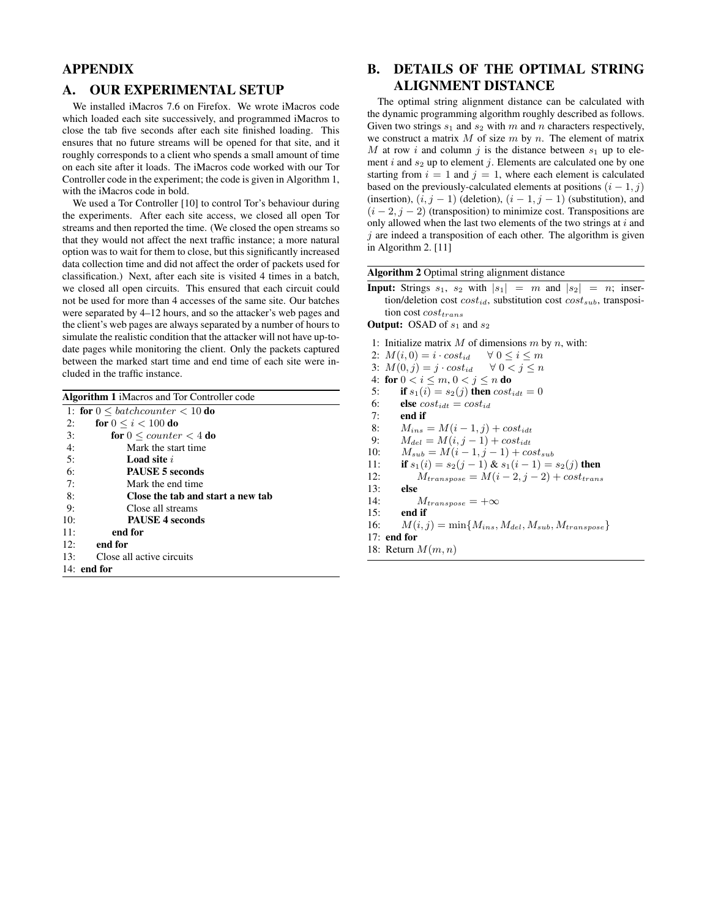## APPENDIX

## A. OUR EXPERIMENTAL SETUP

We installed iMacros 7.6 on Firefox. We wrote iMacros code which loaded each site successively, and programmed iMacros to close the tab five seconds after each site finished loading. This ensures that no future streams will be opened for that site, and it roughly corresponds to a client who spends a small amount of time on each site after it loads. The iMacros code worked with our Tor Controller code in the experiment; the code is given in Algorithm 1, with the iMacros code in bold.

We used a Tor Controller [10] to control Tor's behaviour during the experiments. After each site access, we closed all open Tor streams and then reported the time. (We closed the open streams so that they would not affect the next traffic instance; a more natural option was to wait for them to close, but this significantly increased data collection time and did not affect the order of packets used for classification.) Next, after each site is visited 4 times in a batch, we closed all open circuits. This ensured that each circuit could not be used for more than 4 accesses of the same site. Our batches were separated by 4–12 hours, and so the attacker's web pages and the client's web pages are always separated by a number of hours to simulate the realistic condition that the attacker will not have up-todate pages while monitoring the client. Only the packets captured between the marked start time and end time of each site were included in the traffic instance.

|     | <b>Algorithm 1</b> iMacros and Tor Controller code |  |  |  |  |
|-----|----------------------------------------------------|--|--|--|--|
|     | 1: for $0 \leq batchcounter \leq 10$ do            |  |  |  |  |
| 2:  | for $0 \le i \le 100$ do                           |  |  |  |  |
| 3:  | for $0 \leq counter < 4$ do                        |  |  |  |  |
| 4:  | Mark the start time.                               |  |  |  |  |
| 5:  | Load site i                                        |  |  |  |  |
| 6:  | <b>PAUSE 5 seconds</b>                             |  |  |  |  |
| 7:  | Mark the end time                                  |  |  |  |  |
| 8:  | Close the tab and start a new tab                  |  |  |  |  |
| 9:  | Close all streams                                  |  |  |  |  |
| 10: | <b>PAUSE 4 seconds</b>                             |  |  |  |  |
| 11: | end for                                            |  |  |  |  |
| 12: | end for                                            |  |  |  |  |
| 13: | Close all active circuits                          |  |  |  |  |
|     | $14:$ end for                                      |  |  |  |  |

# B. DETAILS OF THE OPTIMAL STRING ALIGNMENT DISTANCE

The optimal string alignment distance can be calculated with the dynamic programming algorithm roughly described as follows. Given two strings  $s_1$  and  $s_2$  with m and n characters respectively, we construct a matrix  $M$  of size  $m$  by  $n$ . The element of matrix M at row i and column j is the distance between  $s_1$  up to element i and  $s_2$  up to element j. Elements are calculated one by one starting from  $i = 1$  and  $j = 1$ , where each element is calculated based on the previously-calculated elements at positions  $(i - 1, j)$ (insertion),  $(i, j - 1)$  (deletion),  $(i - 1, j - 1)$  (substitution), and  $(i - 2, j - 2)$  (transposition) to minimize cost. Transpositions are only allowed when the last two elements of the two strings at  $i$  and  $j$  are indeed a transposition of each other. The algorithm is given in Algorithm 2. [11]

Algorithm 2 Optimal string alignment distance

**Input:** Strings  $s_1$ ,  $s_2$  with  $|s_1| = m$  and  $|s_2| = n$ ; insertion/deletion cost  $cost_{id}$ , substitution cost  $cost_{sub}$ , transposition cost  $cost_{trans}$ 

**Output:** OSAD of  $s_1$  and  $s_2$ 

- 1: Initialize matrix  $M$  of dimensions  $m$  by  $n$ , with:
- 2:  $M(i, 0) = i \cdot cost_{id} \quad \forall 0 \leq i \leq m$
- 3:  $M(0, i) = i \cdot cost_{id} \quad \forall \ 0 < i \le n$
- 4: for  $0 < i < m, 0 < j < n$  do
- 5: **if**  $s_1(i) = s_2(i)$  then  $cost_{idt} = 0$
- 6: else  $cost_{idt} = cost_{id}$
- 7: end if
- 8:  $M_{ins} = M(i 1, j) + cost_{idt}$
- 9:  $M_{del} = M(i, j 1) + cost_{idt}$
- 10:  $M_{sub} = M(i-1, j-1) + cost_{sub}$
- 11: **if**  $s_1(i) = s_2(j-1) \& s_1(i-1) = s_2(j)$  then
- 12:  $M_{transpose} = M(i-2, j-2) + cost_{trans}$
- 13: else
- 14:  $M_{transpose} = +\infty$ <br>15: **end if**
- end if
- 16:  $M(i, j) = \min\{M_{ins}, M_{del}, M_{sub}, M_{transpose}\}\$
- 17: end for
- 18: Return  $M(m, n)$